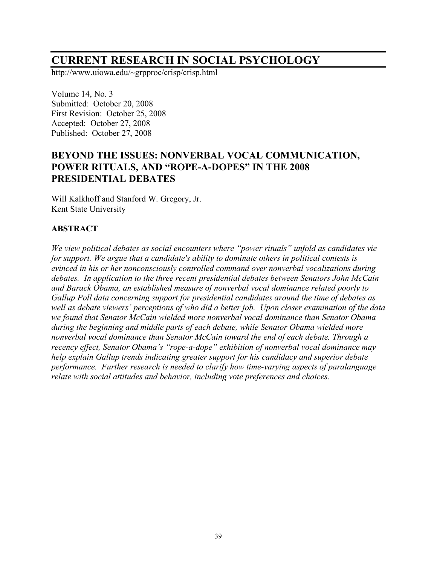# **CURRENT RESEARCH IN SOCIAL PSYCHOLOGY**

http://www.uiowa.edu/~grpproc/crisp/crisp.html

Volume 14, No. 3 Submitted: October 20, 2008 First Revision: October 25, 2008 Accepted: October 27, 2008 Published: October 27, 2008

# **BEYOND THE ISSUES: NONVERBAL VOCAL COMMUNICATION, POWER RITUALS, AND "ROPE-A-DOPES" IN THE 2008 PRESIDENTIAL DEBATES**

Will Kalkhoff and Stanford W. Gregory, Jr. Kent State University

# **ABSTRACT**

*We view political debates as social encounters where "power rituals" unfold as candidates vie for support. We argue that a candidate's ability to dominate others in political contests is evinced in his or her nonconsciously controlled command over nonverbal vocalizations during debates. In application to the three recent presidential debates between Senators John McCain and Barack Obama, an established measure of nonverbal vocal dominance related poorly to Gallup Poll data concerning support for presidential candidates around the time of debates as well as debate viewers' perceptions of who did a better job. Upon closer examination of the data we found that Senator McCain wielded more nonverbal vocal dominance than Senator Obama during the beginning and middle parts of each debate, while Senator Obama wielded more nonverbal vocal dominance than Senator McCain toward the end of each debate. Through a recency effect, Senator Obama's "rope-a-dope" exhibition of nonverbal vocal dominance may help explain Gallup trends indicating greater support for his candidacy and superior debate performance. Further research is needed to clarify how time-varying aspects of paralanguage relate with social attitudes and behavior, including vote preferences and choices.*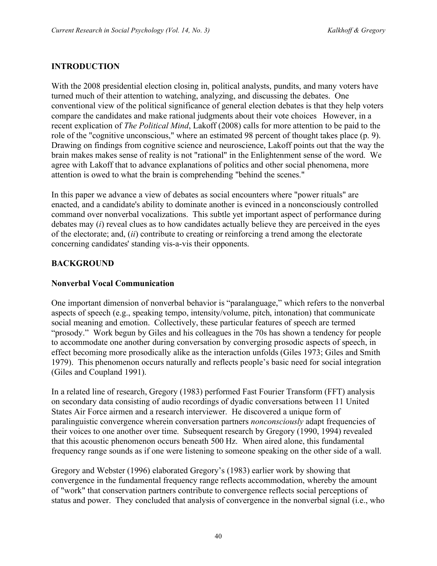# **INTRODUCTION**

With the 2008 presidential election closing in, political analysts, pundits, and many voters have turned much of their attention to watching, analyzing, and discussing the debates. One conventional view of the political significance of general election debates is that they help voters compare the candidates and make rational judgments about their vote choices However, in a recent explication of *The Political Mind*, Lakoff (2008) calls for more attention to be paid to the role of the "cognitive unconscious," where an estimated 98 percent of thought takes place (p. 9). Drawing on findings from cognitive science and neuroscience, Lakoff points out that the way the brain makes makes sense of reality is not "rational" in the Enlightenment sense of the word. We agree with Lakoff that to advance explanations of politics and other social phenomena, more attention is owed to what the brain is comprehending "behind the scenes."

In this paper we advance a view of debates as social encounters where "power rituals" are enacted, and a candidate's ability to dominate another is evinced in a nonconsciously controlled command over nonverbal vocalizations. This subtle yet important aspect of performance during debates may (*i*) reveal clues as to how candidates actually believe they are perceived in the eyes of the electorate; and, (*ii*) contribute to creating or reinforcing a trend among the electorate concerning candidates' standing vis-a-vis their opponents.

# **BACKGROUND**

## **Nonverbal Vocal Communication**

One important dimension of nonverbal behavior is "paralanguage," which refers to the nonverbal aspects of speech (e.g., speaking tempo, intensity/volume, pitch, intonation) that communicate social meaning and emotion. Collectively, these particular features of speech are termed "prosody." Work begun by Giles and his colleagues in the 70s has shown a tendency for people to accommodate one another during conversation by converging prosodic aspects of speech, in effect becoming more prosodically alike as the interaction unfolds (Giles 1973; Giles and Smith 1979). This phenomenon occurs naturally and reflects people's basic need for social integration (Giles and Coupland 1991).

In a related line of research, Gregory (1983) performed Fast Fourier Transform (FFT) analysis on secondary data consisting of audio recordings of dyadic conversations between 11 United States Air Force airmen and a research interviewer. He discovered a unique form of paralinguistic convergence wherein conversation partners *nonconsciously* adapt frequencies of their voices to one another over time. Subsequent research by Gregory (1990, 1994) revealed that this acoustic phenomenon occurs beneath 500 Hz. When aired alone, this fundamental frequency range sounds as if one were listening to someone speaking on the other side of a wall.

Gregory and Webster (1996) elaborated Gregory's (1983) earlier work by showing that convergence in the fundamental frequency range reflects accommodation, whereby the amount of "work" that conservation partners contribute to convergence reflects social perceptions of status and power. They concluded that analysis of convergence in the nonverbal signal (i.e., who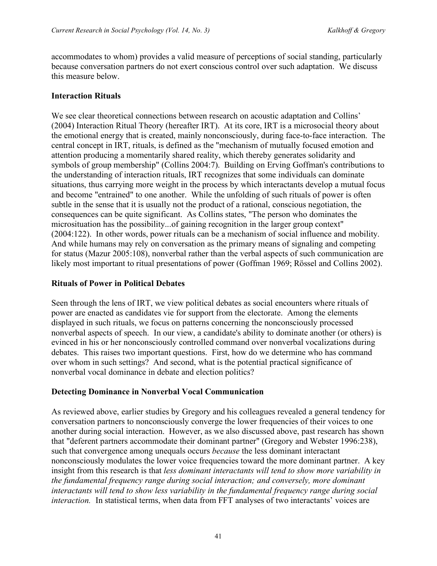accommodates to whom) provides a valid measure of perceptions of social standing, particularly because conversation partners do not exert conscious control over such adaptation. We discuss this measure below.

# **Interaction Rituals**

We see clear theoretical connections between research on acoustic adaptation and Collins' (2004) Interaction Ritual Theory (hereafter IRT). At its core, IRT is a microsocial theory about the emotional energy that is created, mainly nonconsciously, during face-to-face interaction. The central concept in IRT, rituals, is defined as the "mechanism of mutually focused emotion and attention producing a momentarily shared reality, which thereby generates solidarity and symbols of group membership" (Collins 2004:7). Building on Erving Goffman's contributions to the understanding of interaction rituals, IRT recognizes that some individuals can dominate situations, thus carrying more weight in the process by which interactants develop a mutual focus and become "entrained" to one another. While the unfolding of such rituals of power is often subtle in the sense that it is usually not the product of a rational, conscious negotiation, the consequences can be quite significant. As Collins states, "The person who dominates the microsituation has the possibility...of gaining recognition in the larger group context" (2004:122). In other words, power rituals can be a mechanism of social influence and mobility. And while humans may rely on conversation as the primary means of signaling and competing for status (Mazur 2005:108), nonverbal rather than the verbal aspects of such communication are likely most important to ritual presentations of power (Goffman 1969; Rössel and Collins 2002).

# **Rituals of Power in Political Debates**

Seen through the lens of IRT, we view political debates as social encounters where rituals of power are enacted as candidates vie for support from the electorate. Among the elements displayed in such rituals, we focus on patterns concerning the nonconsciously processed nonverbal aspects of speech. In our view, a candidate's ability to dominate another (or others) is evinced in his or her nonconsciously controlled command over nonverbal vocalizations during debates. This raises two important questions. First, how do we determine who has command over whom in such settings? And second, what is the potential practical significance of nonverbal vocal dominance in debate and election politics?

# **Detecting Dominance in Nonverbal Vocal Communication**

As reviewed above, earlier studies by Gregory and his colleagues revealed a general tendency for conversation partners to nonconsciously converge the lower frequencies of their voices to one another during social interaction. However, as we also discussed above, past research has shown that "deferent partners accommodate their dominant partner" (Gregory and Webster 1996:238), such that convergence among unequals occurs *because* the less dominant interactant nonconsciously modulates the lower voice frequencies toward the more dominant partner. A key insight from this research is that *less dominant interactants will tend to show more variability in the fundamental frequency range during social interaction; and conversely, more dominant interactants will tend to show less variability in the fundamental frequency range during social interaction.* In statistical terms, when data from FFT analyses of two interactants' voices are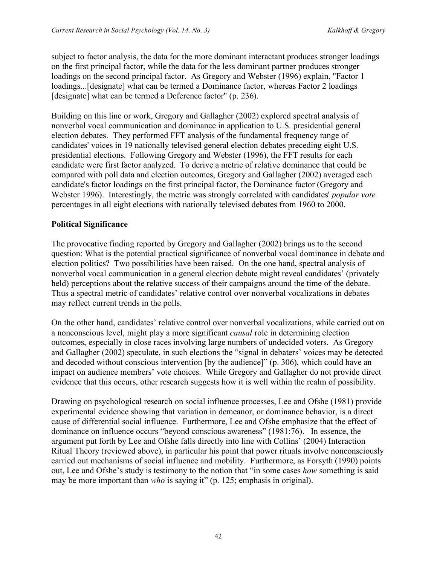subject to factor analysis, the data for the more dominant interactant produces stronger loadings on the first principal factor, while the data for the less dominant partner produces stronger loadings on the second principal factor. As Gregory and Webster (1996) explain, "Factor 1 loadings...[designate] what can be termed a Dominance factor, whereas Factor 2 loadings [designate] what can be termed a Deference factor" (p. 236).

Building on this line or work, Gregory and Gallagher (2002) explored spectral analysis of nonverbal vocal communication and dominance in application to U.S. presidential general election debates. They performed FFT analysis of the fundamental frequency range of candidates' voices in 19 nationally televised general election debates preceding eight U.S. presidential elections. Following Gregory and Webster (1996), the FFT results for each candidate were first factor analyzed. To derive a metric of relative dominance that could be compared with poll data and election outcomes, Gregory and Gallagher (2002) averaged each candidate's factor loadings on the first principal factor, the Dominance factor (Gregory and Webster 1996). Interestingly, the metric was strongly correlated with candidates' *popular vote* percentages in all eight elections with nationally televised debates from 1960 to 2000.

# **Political Significance**

The provocative finding reported by Gregory and Gallagher (2002) brings us to the second question: What is the potential practical significance of nonverbal vocal dominance in debate and election politics? Two possibilities have been raised. On the one hand, spectral analysis of nonverbal vocal communication in a general election debate might reveal candidates' (privately held) perceptions about the relative success of their campaigns around the time of the debate. Thus a spectral metric of candidates' relative control over nonverbal vocalizations in debates may reflect current trends in the polls.

On the other hand, candidates' relative control over nonverbal vocalizations, while carried out on a nonconscious level, might play a more significant *causal* role in determining election outcomes, especially in close races involving large numbers of undecided voters. As Gregory and Gallagher (2002) speculate, in such elections the "signal in debaters' voices may be detected and decoded without conscious intervention [by the audience]" (p. 306), which could have an impact on audience members' vote choices. While Gregory and Gallagher do not provide direct evidence that this occurs, other research suggests how it is well within the realm of possibility.

Drawing on psychological research on social influence processes, Lee and Ofshe (1981) provide experimental evidence showing that variation in demeanor, or dominance behavior, is a direct cause of differential social influence. Furthermore, Lee and Ofshe emphasize that the effect of dominance on influence occurs "beyond conscious awareness" (1981:76). In essence, the argument put forth by Lee and Ofshe falls directly into line with Collins' (2004) Interaction Ritual Theory (reviewed above), in particular his point that power rituals involve nonconsciously carried out mechanisms of social influence and mobility. Furthermore, as Forsyth (1990) points out, Lee and Ofshe's study is testimony to the notion that "in some cases *how* something is said may be more important than *who* is saying it" (p. 125; emphasis in original).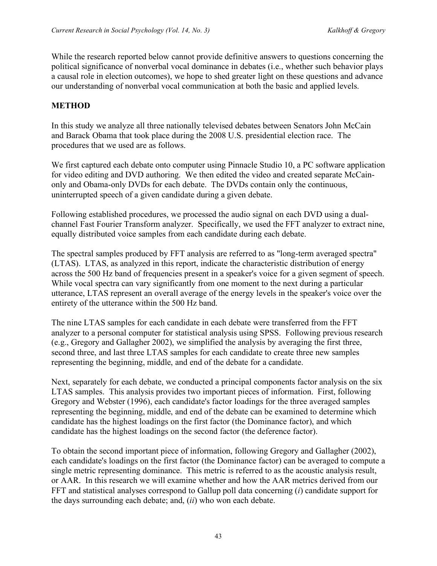While the research reported below cannot provide definitive answers to questions concerning the political significance of nonverbal vocal dominance in debates (i.e., whether such behavior plays a causal role in election outcomes), we hope to shed greater light on these questions and advance our understanding of nonverbal vocal communication at both the basic and applied levels.

### **METHOD**

In this study we analyze all three nationally televised debates between Senators John McCain and Barack Obama that took place during the 2008 U.S. presidential election race. The procedures that we used are as follows.

We first captured each debate onto computer using Pinnacle Studio 10, a PC software application for video editing and DVD authoring. We then edited the video and created separate McCainonly and Obama-only DVDs for each debate. The DVDs contain only the continuous, uninterrupted speech of a given candidate during a given debate.

Following established procedures, we processed the audio signal on each DVD using a dualchannel Fast Fourier Transform analyzer. Specifically, we used the FFT analyzer to extract nine, equally distributed voice samples from each candidate during each debate.

The spectral samples produced by FFT analysis are referred to as "long-term averaged spectra" (LTAS). LTAS, as analyzed in this report, indicate the characteristic distribution of energy across the 500 Hz band of frequencies present in a speaker's voice for a given segment of speech. While vocal spectra can vary significantly from one moment to the next during a particular utterance, LTAS represent an overall average of the energy levels in the speaker's voice over the entirety of the utterance within the 500 Hz band.

The nine LTAS samples for each candidate in each debate were transferred from the FFT analyzer to a personal computer for statistical analysis using SPSS. Following previous research (e.g., Gregory and Gallagher 2002), we simplified the analysis by averaging the first three, second three, and last three LTAS samples for each candidate to create three new samples representing the beginning, middle, and end of the debate for a candidate.

Next, separately for each debate, we conducted a principal components factor analysis on the six LTAS samples. This analysis provides two important pieces of information. First, following Gregory and Webster (1996), each candidate's factor loadings for the three averaged samples representing the beginning, middle, and end of the debate can be examined to determine which candidate has the highest loadings on the first factor (the Dominance factor), and which candidate has the highest loadings on the second factor (the deference factor).

To obtain the second important piece of information, following Gregory and Gallagher (2002), each candidate's loadings on the first factor (the Dominance factor) can be averaged to compute a single metric representing dominance. This metric is referred to as the acoustic analysis result, or AAR. In this research we will examine whether and how the AAR metrics derived from our FFT and statistical analyses correspond to Gallup poll data concerning (*i*) candidate support for the days surrounding each debate; and, (*ii*) who won each debate.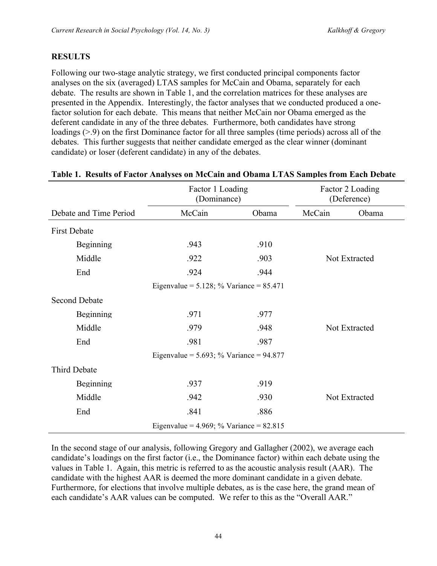# **RESULTS**

Following our two-stage analytic strategy, we first conducted principal components factor analyses on the six (averaged) LTAS samples for McCain and Obama, separately for each debate. The results are shown in Table 1, and the correlation matrices for these analyses are presented in the Appendix. Interestingly, the factor analyses that we conducted produced a onefactor solution for each debate. This means that neither McCain nor Obama emerged as the deferent candidate in any of the three debates. Furthermore, both candidates have strong loadings (>.9) on the first Dominance factor for all three samples (time periods) across all of the debates. This further suggests that neither candidate emerged as the clear winner (dominant candidate) or loser (deferent candidate) in any of the debates.

|                                              | Factor 1 Loading<br>(Dominance)              |       |               | Factor 2 Loading<br>(Deference) |  |  |  |
|----------------------------------------------|----------------------------------------------|-------|---------------|---------------------------------|--|--|--|
| Debate and Time Period                       | McCain                                       | Obama | McCain        | Obama                           |  |  |  |
| <b>First Debate</b>                          |                                              |       |               |                                 |  |  |  |
| Beginning                                    | .943                                         | .910  |               |                                 |  |  |  |
| Middle                                       | .922                                         | .903  | Not Extracted |                                 |  |  |  |
| End                                          | .924                                         | .944  |               |                                 |  |  |  |
|                                              | Eigenvalue = $5.128$ ; % Variance = $85.471$ |       |               |                                 |  |  |  |
| <b>Second Debate</b>                         |                                              |       |               |                                 |  |  |  |
| Beginning                                    | .971                                         | .977  |               |                                 |  |  |  |
| Middle                                       | .979                                         | .948  |               | Not Extracted                   |  |  |  |
| End                                          | .981                                         | .987  |               |                                 |  |  |  |
| Eigenvalue = $5.693$ ; % Variance = $94.877$ |                                              |       |               |                                 |  |  |  |
| Third Debate                                 |                                              |       |               |                                 |  |  |  |
| Beginning                                    | .937                                         | .919  |               |                                 |  |  |  |
| Middle                                       | .942                                         | .930  |               | Not Extracted                   |  |  |  |
| End                                          | .841                                         | .886  |               |                                 |  |  |  |
|                                              | Eigenvalue = $4.969$ ; % Variance = $82.815$ |       |               |                                 |  |  |  |

#### **Table 1. Results of Factor Analyses on McCain and Obama LTAS Samples from Each Debate**

In the second stage of our analysis, following Gregory and Gallagher (2002), we average each candidate's loadings on the first factor (i.e., the Dominance factor) within each debate using the values in Table 1. Again, this metric is referred to as the acoustic analysis result (AAR). The candidate with the highest AAR is deemed the more dominant candidate in a given debate. Furthermore, for elections that involve multiple debates, as is the case here, the grand mean of each candidate's AAR values can be computed. We refer to this as the "Overall AAR."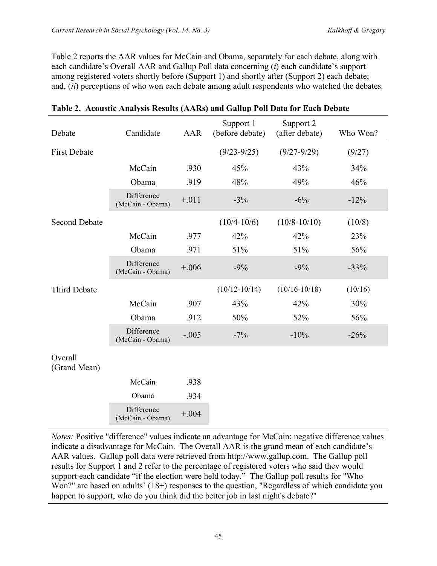Table 2 reports the AAR values for McCain and Obama, separately for each debate, along with each candidate's Overall AAR and Gallup Poll data concerning (*i*) each candidate's support among registered voters shortly before (Support 1) and shortly after (Support 2) each debate; and, (*ii*) perceptions of who won each debate among adult respondents who watched the debates.

| Debate                  | Candidate                      | AAR     | Support 1<br>(before debate) | Support 2<br>(after debate) | Who Won? |
|-------------------------|--------------------------------|---------|------------------------------|-----------------------------|----------|
| <b>First Debate</b>     |                                |         | $(9/23 - 9/25)$              | $(9/27 - 9/29)$             | (9/27)   |
|                         | McCain                         | .930    | 45%                          | 43%                         | 34%      |
|                         | Obama                          | .919    | 48%                          | 49%                         | 46%      |
|                         | Difference<br>(McCain - Obama) | $+.011$ | $-3\%$                       | $-6%$                       | $-12%$   |
| <b>Second Debate</b>    |                                |         | $(10/4 - 10/6)$              | $(10/8 - 10/10)$            | (10/8)   |
|                         | McCain                         | .977    | 42%                          | 42%                         | 23%      |
|                         | Obama                          | .971    | 51%                          | 51%                         | 56%      |
|                         | Difference<br>(McCain - Obama) | $+.006$ | $-9%$                        | $-9%$                       | $-33%$   |
| <b>Third Debate</b>     |                                |         | $(10/12 - 10/14)$            | $(10/16 - 10/18)$           | (10/16)  |
|                         | McCain                         | .907    | 43%                          | 42%                         | 30%      |
|                         | Obama                          | .912    | 50%                          | 52%                         | 56%      |
|                         | Difference<br>(McCain - Obama) | $-.005$ | $-7\%$                       | $-10%$                      | $-26%$   |
| Overall<br>(Grand Mean) |                                |         |                              |                             |          |
|                         | McCain                         | .938    |                              |                             |          |
|                         | Obama                          | .934    |                              |                             |          |
|                         | Difference<br>(McCain - Obama) | $+.004$ |                              |                             |          |

# **Table 2. Acoustic Analysis Results (AARs) and Gallup Poll Data for Each Debate**

*Notes:* Positive "difference" values indicate an advantage for McCain; negative difference values indicate a disadvantage for McCain. The Overall AAR is the grand mean of each candidate's AAR values. Gallup poll data were retrieved from http://www.gallup.com. The Gallup poll results for Support 1 and 2 refer to the percentage of registered voters who said they would support each candidate "if the election were held today." The Gallup poll results for "Who Won?" are based on adults' (18+) responses to the question, "Regardless of which candidate you happen to support, who do you think did the better job in last night's debate?"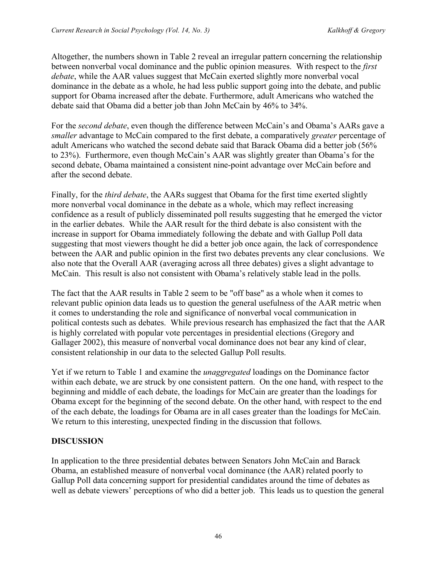Altogether, the numbers shown in Table 2 reveal an irregular pattern concerning the relationship between nonverbal vocal dominance and the public opinion measures. With respect to the *first debate*, while the AAR values suggest that McCain exerted slightly more nonverbal vocal dominance in the debate as a whole, he had less public support going into the debate, and public support for Obama increased after the debate. Furthermore, adult Americans who watched the debate said that Obama did a better job than John McCain by 46% to 34%.

For the *second debate*, even though the difference between McCain's and Obama's AARs gave a *smaller* advantage to McCain compared to the first debate, a comparatively *greater* percentage of adult Americans who watched the second debate said that Barack Obama did a better job (56% to 23%). Furthermore, even though McCain's AAR was slightly greater than Obama's for the second debate, Obama maintained a consistent nine-point advantage over McCain before and after the second debate.

Finally, for the *third debate*, the AARs suggest that Obama for the first time exerted slightly more nonverbal vocal dominance in the debate as a whole, which may reflect increasing confidence as a result of publicly disseminated poll results suggesting that he emerged the victor in the earlier debates. While the AAR result for the third debate is also consistent with the increase in support for Obama immediately following the debate and with Gallup Poll data suggesting that most viewers thought he did a better job once again, the lack of correspondence between the AAR and public opinion in the first two debates prevents any clear conclusions. We also note that the Overall AAR (averaging across all three debates) gives a slight advantage to McCain. This result is also not consistent with Obama's relatively stable lead in the polls.

The fact that the AAR results in Table 2 seem to be "off base" as a whole when it comes to relevant public opinion data leads us to question the general usefulness of the AAR metric when it comes to understanding the role and significance of nonverbal vocal communication in political contests such as debates. While previous research has emphasized the fact that the AAR is highly correlated with popular vote percentages in presidential elections (Gregory and Gallager 2002), this measure of nonverbal vocal dominance does not bear any kind of clear, consistent relationship in our data to the selected Gallup Poll results.

Yet if we return to Table 1 and examine the *unaggregated* loadings on the Dominance factor within each debate, we are struck by one consistent pattern. On the one hand, with respect to the beginning and middle of each debate, the loadings for McCain are greater than the loadings for Obama except for the beginning of the second debate. On the other hand, with respect to the end of the each debate, the loadings for Obama are in all cases greater than the loadings for McCain. We return to this interesting, unexpected finding in the discussion that follows.

### **DISCUSSION**

In application to the three presidential debates between Senators John McCain and Barack Obama, an established measure of nonverbal vocal dominance (the AAR) related poorly to Gallup Poll data concerning support for presidential candidates around the time of debates as well as debate viewers' perceptions of who did a better job. This leads us to question the general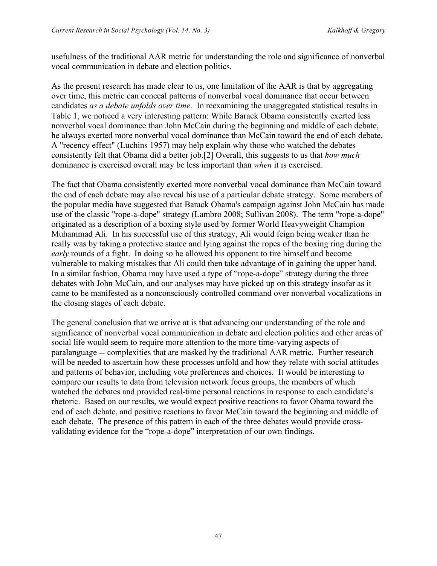usefulness of the traditional AAR metric for understanding the role and significance of nonverbal vocal communication in debate and election politics.

As the present research has made clear to us, one limitation of the AAR is that by aggregating over time, this metric can conceal patterns of nonverbal vocal dominance that occur between candidates *as a debate unfolds over time*. In reexamining the unaggregated statistical results in Table 1, we noticed a very interesting pattern: While Barack Obama consistently exerted less nonverbal vocal dominance than John McCain during the beginning and middle of each debate, he always exerted more nonverbal vocal dominance than McCain toward the end of each debate. A "recency effect" (Luchins 1957) may help explain why those who watched the debates consistently felt that Obama did a better job.[2] Overall, this suggests to us that *how much* dominance is exercised overall may be less important than *when* it is exercised.

The fact that Obama consistently exerted more nonverbal vocal dominance than McCain toward the end of each debate may also reveal his use of a particular debate strategy. Some members of the popular media have suggested that Barack Obama's campaign against John McCain has made use of the classic "rope-a-dope" strategy (Lambro 2008; Sullivan 2008). The term "rope-a-dope" originated as a description of a boxing style used by former World Heavyweight Champion Muhammad Ali. In his successful use of this strategy, Ali would feign being weaker than he really was by taking a protective stance and lying against the ropes of the boxing ring during the *early* rounds of a fight. In doing so he allowed his opponent to tire himself and become vulnerable to making mistakes that Ali could then take advantage of in gaining the upper hand. In a similar fashion, Obama may have used a type of "rope-a-dope" strategy during the three debates with John McCain, and our analyses may have picked up on this strategy insofar as it came to be manifested as a nonconsciously controlled command over nonverbal vocalizations in the closing stages of each debate.

The general conclusion that we arrive at is that advancing our understanding of the role and significance of nonverbal vocal communication in debate and election politics and other areas of social life would seem to require more attention to the more time-varying aspects of paralanguage -- complexities that are masked by the traditional AAR metric. Further research will be needed to ascertain how these processes unfold and how they relate with social attitudes and patterns of behavior, including vote preferences and choices. It would be interesting to compare our results to data from television network focus groups, the members of which watched the debates and provided real-time personal reactions in response to each candidate's rhetoric. Based on our results, we would expect positive reactions to favor Obama toward the end of each debate, and positive reactions to favor McCain toward the beginning and middle of each debate. The presence of this pattern in each of the three debates would provide crossvalidating evidence for the "rope-a-dope" interpretation of our own findings.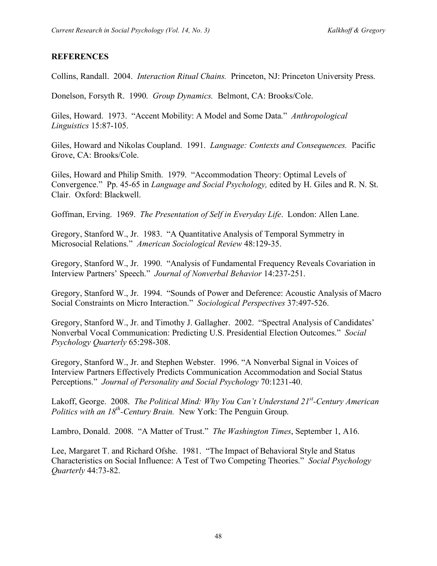# **REFERENCES**

Collins, Randall. 2004. *Interaction Ritual Chains.* Princeton, NJ: Princeton University Press.

Donelson, Forsyth R. 1990. *Group Dynamics.* Belmont, CA: Brooks/Cole.

Giles, Howard. 1973. "Accent Mobility: A Model and Some Data." *Anthropological Linguistics* 15:87-105.

Giles, Howard and Nikolas Coupland. 1991. *Language: Contexts and Consequences.* Pacific Grove, CA: Brooks/Cole.

Giles, Howard and Philip Smith. 1979. "Accommodation Theory: Optimal Levels of Convergence." Pp. 45-65 in *Language and Social Psychology,* edited by H. Giles and R. N. St. Clair. Oxford: Blackwell.

Goffman, Erving. 1969. *The Presentation of Self in Everyday Life*. London: Allen Lane.

Gregory, Stanford W., Jr. 1983. "A Quantitative Analysis of Temporal Symmetry in Microsocial Relations." *American Sociological Review* 48:129-35.

Gregory, Stanford W., Jr. 1990. "Analysis of Fundamental Frequency Reveals Covariation in Interview Partners' Speech." *Journal of Nonverbal Behavior* 14:237-251.

Gregory, Stanford W., Jr. 1994. "Sounds of Power and Deference: Acoustic Analysis of Macro Social Constraints on Micro Interaction." *Sociological Perspectives* 37:497-526.

Gregory, Stanford W., Jr. and Timothy J. Gallagher. 2002. "Spectral Analysis of Candidates' Nonverbal Vocal Communication: Predicting U.S. Presidential Election Outcomes." *Social Psychology Quarterly* 65:298-308.

Gregory, Stanford W., Jr. and Stephen Webster. 1996. "A Nonverbal Signal in Voices of Interview Partners Effectively Predicts Communication Accommodation and Social Status Perceptions." *Journal of Personality and Social Psychology* 70:1231-40.

Lakoff, George. 2008. *The Political Mind: Why You Can't Understand 21st -Century American Politics with an 18th -Century Brain.* New York: The Penguin Group.

Lambro, Donald. 2008. "A Matter of Trust." *The Washington Times*, September 1, A16.

Lee, Margaret T. and Richard Ofshe. 1981. "The Impact of Behavioral Style and Status Characteristics on Social Influence: A Test of Two Competing Theories." *Social Psychology Quarterly* 44:73-82.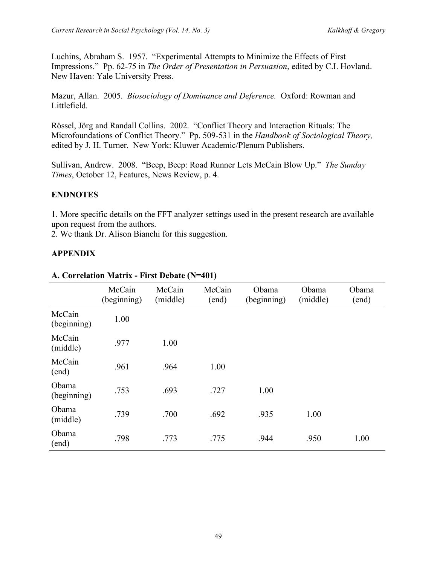Luchins, Abraham S. 1957. "Experimental Attempts to Minimize the Effects of First Impressions." Pp. 62-75 in *The Order of Presentation in Persuasion*, edited by C.I. Hovland. New Haven: Yale University Press.

Mazur, Allan. 2005. *Biosociology of Dominance and Deference.* Oxford: Rowman and Littlefield.

Rössel, Jörg and Randall Collins. 2002. "Conflict Theory and Interaction Rituals: The Microfoundations of Conflict Theory." Pp. 509-531 in the *Handbook of Sociological Theory,* edited by J. H. Turner. New York: Kluwer Academic/Plenum Publishers.

Sullivan, Andrew. 2008. "Beep, Beep: Road Runner Lets McCain Blow Up." *The Sunday Times*, October 12, Features, News Review, p. 4.

# **ENDNOTES**

1. More specific details on the FFT analyzer settings used in the present research are available upon request from the authors.

2. We thank Dr. Alison Bianchi for this suggestion.

# **APPENDIX**

|                       | McCain<br>(beginning) | McCain<br>(middle) | McCain<br>(end) | Obama<br>(beginning) | Obama<br>(middle) | Obama<br>(end) |
|-----------------------|-----------------------|--------------------|-----------------|----------------------|-------------------|----------------|
| McCain<br>(beginning) | 1.00                  |                    |                 |                      |                   |                |
| McCain<br>(middle)    | .977                  | 1.00               |                 |                      |                   |                |
| McCain<br>(end)       | .961                  | .964               | 1.00            |                      |                   |                |
| Obama<br>(beginning)  | .753                  | .693               | .727            | 1.00                 |                   |                |
| Obama<br>(middle)     | .739                  | .700               | .692            | .935                 | 1.00              |                |
| Obama<br>(end)        | .798                  | .773               | .775            | .944                 | .950              | 1.00           |

### **A. Correlation Matrix - First Debate (N=401)**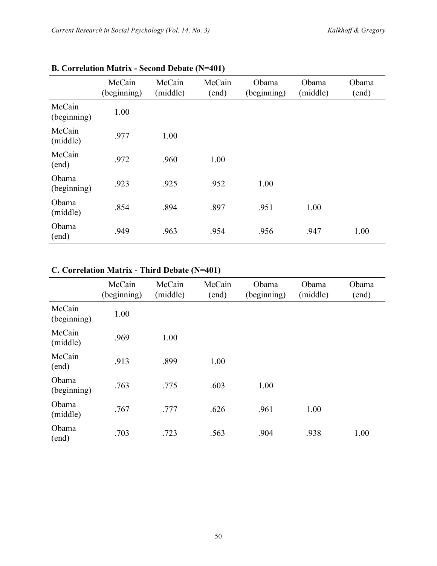|                       | McCain<br>(beginning) | McCain<br>(middle) | McCain<br>(end) | Obama<br>(beginning) | Obama<br>(middle) | Obama<br>(end) |
|-----------------------|-----------------------|--------------------|-----------------|----------------------|-------------------|----------------|
| McCain<br>(beginning) | 1.00                  |                    |                 |                      |                   |                |
| McCain<br>(middle)    | .977                  | 1.00               |                 |                      |                   |                |
| McCain<br>(end)       | .972                  | .960               | 1.00            |                      |                   |                |
| Obama<br>(beginning)  | .923                  | .925               | .952            | 1.00                 |                   |                |
| Obama<br>(middle)     | .854                  | .894               | .897            | .951                 | 1.00              |                |
| Obama<br>(end)        | .949                  | .963               | .954            | .956                 | .947              | 1.00           |

# **B. Correlation Matrix - Second Debate (N=401)**

# **C. Correlation Matrix - Third Debate (N=401)**

|                       | McCain<br>(beginning) | McCain<br>(middle) | McCain<br>(end) | Obama<br>(beginning) | Obama<br>(middle) | Obama<br>(end) |
|-----------------------|-----------------------|--------------------|-----------------|----------------------|-------------------|----------------|
| McCain<br>(beginning) | 1.00                  |                    |                 |                      |                   |                |
| McCain<br>(middle)    | .969                  | 1.00               |                 |                      |                   |                |
| McCain<br>(end)       | .913                  | .899               | 1.00            |                      |                   |                |
| Obama<br>(beginning)  | .763                  | .775               | .603            | 1.00                 |                   |                |
| Obama<br>(middle)     | .767                  | .777               | .626            | .961                 | 1.00              |                |
| Obama<br>(end)        | .703                  | .723               | .563            | .904                 | .938              | 1.00           |